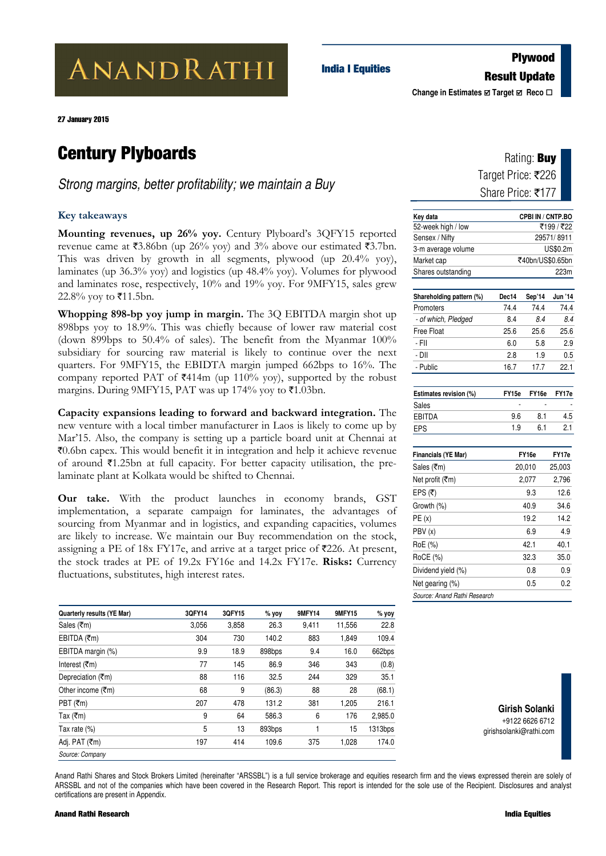# ANANDRATHI

# **Plywood Result Update India I Equities**

**Change in Estimates**  $\text{Z}$  **Target**  $\text{Z}$  Reco □

27 January 2015

# **Century Plyboards**

*Strong margins, better profitability; we maintain a Buy*

## **Key takeaways**

**Mounting revenues, up 26% yoy.** Century Plyboard's 3QFY15 reported revenue came at  $\overline{3.86}$ bn (up 26% yoy) and 3% above our estimated  $\overline{3.7}$ bn. This was driven by growth in all segments, plywood (up 20.4% yoy), laminates (up 36.3% yoy) and logistics (up 48.4% yoy). Volumes for plywood and laminates rose, respectively, 10% and 19% yoy. For 9MFY15, sales grew 22.8% yoy to ₹11.5bn.

**Whopping 898-bp yoy jump in margin.** The 3Q EBITDA margin shot up 898bps yoy to 18.9%. This was chiefly because of lower raw material cost (down 899bps to 50.4% of sales). The benefit from the Myanmar 100% subsidiary for sourcing raw material is likely to continue over the next quarters. For 9MFY15, the EBIDTA margin jumped 662bps to 16%. The company reported PAT of  $\text{\texttt{414m}}$  (up 110% yoy), supported by the robust margins. During 9MFY15, PAT was up 174% yoy to  $\bar{\mathfrak{e}}1.03\mathrm{bn}$ .

**Capacity expansions leading to forward and backward integration.** The new venture with a local timber manufacturer in Laos is likely to come up by Mar'15. Also, the company is setting up a particle board unit at Chennai at  $\bar{z}$ 0.6bn capex. This would benefit it in integration and help it achieve revenue of around  $\bar{\tau}$ 1.25bn at full capacity. For better capacity utilisation, the prelaminate plant at Kolkata would be shifted to Chennai.

implementation, a separate campaign for laminates, the advantages of **Our take.** With the product launches in economy brands, GST sourcing from Myanmar and in logistics, and expanding capacities, volumes are likely to increase. We maintain our Buy recommendation on the stock, assigning a PE of 18x FY17e, and arrive at a target price of  $\overline{5}226$ . At present, the stock trades at PE of 19.2x FY16e and 14.2x FY17e. **Risks:** Currency fluctuations, substitutes, high interest rates.

| <b>Quarterly results (YE Mar)</b>  | 3QFY14 | 3QFY15 | % yoy  | <b>9MFY14</b> | <b>9MFY15</b> | $%$ yoy |
|------------------------------------|--------|--------|--------|---------------|---------------|---------|
| Sales (₹m)                         | 3.056  | 3,858  | 26.3   | 9.411         | 11,556        | 22.8    |
| EBITDA $(\bar{\tau}$ m)            | 304    | 730    | 140.2  | 883           | 1,849         | 109.4   |
| EBITDA margin (%)                  | 9.9    | 18.9   | 898bps | 9.4           | 16.0          | 662bps  |
| Interest $(\bar{\tau}$ m)          | 77     | 145    | 86.9   | 346           | 343           | (0.8)   |
| Depreciation (₹m)                  | 88     | 116    | 32.5   | 244           | 329           | 35.1    |
| Other income $(\overline{\tau}$ m) | 68     | 9      | (86.3) | 88            | 28            | (68.1)  |
| PBT $(\bar{\tau}$ m)               | 207    | 478    | 131.2  | 381           | 1.205         | 216.1   |
| Tax $(\overline{\tau}$ m)          | 9      | 64     | 586.3  | 6             | 176           | 2,985.0 |
| Tax rate $(\%)$                    | 5      | 13     | 893bps | 1             | 15            | 1313bps |
| Adj. PAT $(\bar{\tau}$ m)          | 197    | 414    | 109.6  | 375           | 1,028         | 174.0   |
| Source: Company                    |        |        |        |               |               |         |

| Rating: <b>Buy</b> |
|--------------------|
| Target Price: ₹226 |
| Share Price: ₹177  |

| Key data                     |              | CPBI IN / CNTP.BO |          |  |  |  |
|------------------------------|--------------|-------------------|----------|--|--|--|
| 52-week high / low           | ₹199 / ₹22   |                   |          |  |  |  |
| Sensex / Nifty               | 29571/8911   |                   |          |  |  |  |
| 3-m average volume           |              |                   | US\$0.2m |  |  |  |
| Market cap                   |              | ₹40bn/US\$0.65bn  |          |  |  |  |
| Shares outstanding           | 223m         |                   |          |  |  |  |
| Shareholding pattern (%)     | Dec14        | Sep'14            | Jun '14  |  |  |  |
| Promoters                    | 74.4         | 74.4              | 74.4     |  |  |  |
| - of which, Pledged          | 8.4          | 8.4               | 8.4      |  |  |  |
| Free Float                   | 25.6         | 25.6              | 25.6     |  |  |  |
| $-FII$                       | 6.0          | 5.8               | 2.9      |  |  |  |
| - Dii                        | 2.8          | 1.9               | 0.5      |  |  |  |
| - Public                     | 16.7         | 17.7              | 22.1     |  |  |  |
| Estimates revision (%)       | <b>FY15e</b> | FY <sub>16e</sub> | FY17e    |  |  |  |
| <b>Sales</b>                 |              |                   |          |  |  |  |
| <b>EBITDA</b>                | 9.6          | 8.1               | 4.5      |  |  |  |
| <b>EPS</b>                   | 1.9          | 6.1               | 2.1      |  |  |  |
| <b>Financials (YE Mar)</b>   |              | FY16e             | FY17e    |  |  |  |
| Sales (₹m)                   |              | 20,010            | 25,003   |  |  |  |
| Net profit (₹m)              |              | 2,077             | 2,796    |  |  |  |
| EPS $(₹)$                    |              | 9.3               | 12.6     |  |  |  |
| Growth (%)                   |              | 40.9              | 34.6     |  |  |  |
| PE(x)                        |              | 19.2              | 14.2     |  |  |  |
| PBV(x)                       |              | 6.9               | 4.9      |  |  |  |
| RoE (%)                      |              | 42.1              |          |  |  |  |
| RoCE (%)                     |              | 32.3              | 35.0     |  |  |  |
| Dividend yield (%)           |              | 0.8               | 0.9      |  |  |  |
| Net gearing (%)              |              | 0.5               | 0.2      |  |  |  |
| Source: Anand Rathi Research |              |                   |          |  |  |  |

**Girish Solanki**  +9122 6626 6712 girishsolanki@rathi.com

Anand Rathi Shares and Stock Brokers Limited (hereinafter "ARSSBL") is a full service brokerage and equities research firm and the views expressed therein are solely of ARSSBL and not of the companies which have been covered in the Research Report. This report is intended for the sole use of the Recipient. Disclosures and analyst certifications are present in Appendix.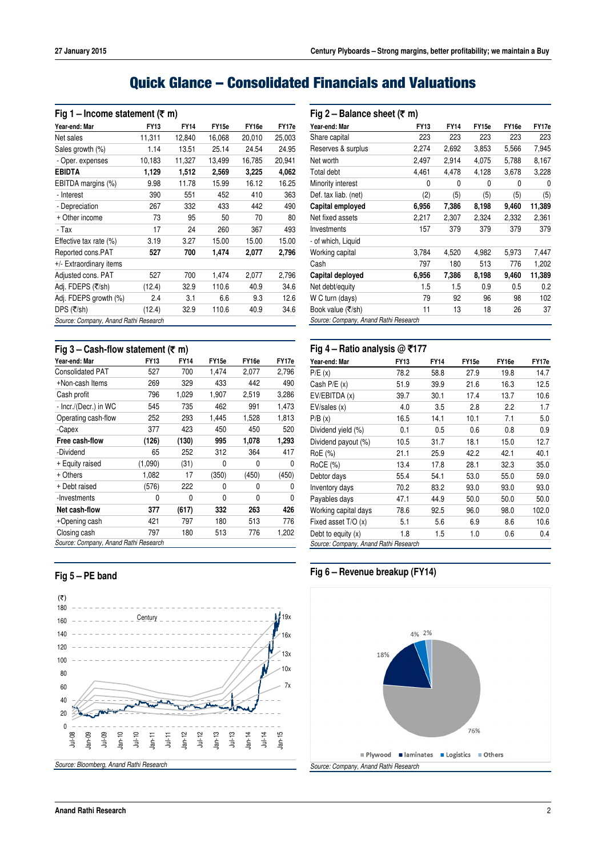# **Quick Glance – Consolidated Financials and Valuations**

### **Fig 1 – Income statement (**` **m)**

| Year-end: Mar                         | <b>FY13</b> | <b>FY14</b> | <b>FY15e</b> | FY16e  | FY17e  |
|---------------------------------------|-------------|-------------|--------------|--------|--------|
| Net sales                             | 11,311      | 12,840      | 16,068       | 20,010 | 25,003 |
| Sales growth (%)                      | 1.14        | 13.51       | 25.14        | 24.54  | 24.95  |
| - Oper. expenses                      | 10,183      | 11,327      | 13,499       | 16,785 | 20,941 |
| <b>EBIDTA</b>                         | 1,129       | 1,512       | 2,569        | 3,225  | 4,062  |
| EBITDA margins (%)                    | 9.98        | 11.78       | 15.99        | 16.12  | 16.25  |
| - Interest                            | 390         | 551         | 452          | 410    | 363    |
| - Depreciation                        | 267         | 332         | 433          | 442    | 490    |
| + Other income                        | 73          | 95          | 50           | 70     | 80     |
| - Tax                                 | 17          | 24          | 260          | 367    | 493    |
| Effective tax rate (%)                | 3.19        | 3.27        | 15.00        | 15.00  | 15.00  |
| Reported cons.PAT                     | 527         | 700         | 1,474        | 2,077  | 2,796  |
| +/- Extraordinary items               |             |             |              |        |        |
| Adjusted cons. PAT                    | 527         | 700         | 1,474        | 2,077  | 2,796  |
| Adj. FDEPS (₹/sh)                     | (12.4)      | 32.9        | 110.6        | 40.9   | 34.6   |
| Adj. FDEPS growth (%)                 | 2.4         | 3.1         | 6.6          | 9.3    | 12.6   |
| DPS (₹/sh)                            | (12.4)      | 32.9        | 110.6        | 40.9   | 34.6   |
| Source: Company, Anand Rathi Research |             |             |              |        |        |

| Fig 3 – Cash-flow statement (₹ m)     |             |             |                   |       |       |  |
|---------------------------------------|-------------|-------------|-------------------|-------|-------|--|
| Year-end: Mar                         | <b>FY13</b> | <b>FY14</b> | FY <sub>15e</sub> | FY16e | FY17e |  |
| <b>Consolidated PAT</b>               | 527         | 700         | 1,474             | 2,077 | 2,796 |  |
| +Non-cash Items                       | 269         | 329         | 433               | 442   | 490   |  |
| Cash profit                           | 796         | 1,029       | 1,907             | 2,519 | 3,286 |  |
| - Incr./(Decr.) in WC                 | 545         | 735         | 462               | 991   | 1,473 |  |
| Operating cash-flow                   | 252         | 293         | 1,445             | 1,528 | 1,813 |  |
| -Capex                                | 377         | 423         | 450               | 450   | 520   |  |
| Free cash-flow                        | (126)       | (130)       | 995               | 1,078 | 1,293 |  |
| -Dividend                             | 65          | 252         | 312               | 364   | 417   |  |
| + Equity raised                       | (1,090)     | (31)        | 0                 | 0     | 0     |  |
| + Others                              | 1,082       | 17          | (350)             | (450) | (450) |  |
| + Debt raised                         | (576)       | 222         | 0                 | 0     | 0     |  |
| -Investments                          | 0           | 0           | 0                 | 0     | 0     |  |
| Net cash-flow                         | 377         | (617)       | 332               | 263   | 426   |  |
| +Opening cash                         | 421         | 797         | 180               | 513   | 776   |  |
| Closing cash                          | 797         | 180         | 513               | 776   | 1,202 |  |
| Source: Company, Anand Rathi Research |             |             |                   |       |       |  |

| Fig 2 – Balance sheet ( $\overline{\tau}$ m) |             |             |                   |                   |        |  |  |
|----------------------------------------------|-------------|-------------|-------------------|-------------------|--------|--|--|
| Year-end: Mar                                | <b>FY13</b> | <b>FY14</b> | FY <sub>15e</sub> | FY <sub>16e</sub> | FY17e  |  |  |
| Share capital                                | 223         | 223         | 223               | 223               | 223    |  |  |
| Reserves & surplus                           | 2,274       | 2,692       | 3,853             | 5,566             | 7,945  |  |  |
| Net worth                                    | 2,497       | 2,914       | 4,075             | 5,788             | 8,167  |  |  |
| <b>Total debt</b>                            | 4,461       | 4,478       | 4,128             | 3,678             | 3,228  |  |  |
| Minority interest                            | 0           | 0           | 0                 | 0                 | 0      |  |  |
| Def. tax liab. (net)                         | (2)         | (5)         | (5)               | (5)               | (5)    |  |  |
| Capital employed                             | 6,956       | 7,386       | 8,198             | 9,460             | 11,389 |  |  |
| Net fixed assets                             | 2,217       | 2,307       | 2,324             | 2,332             | 2,361  |  |  |
| Investments                                  | 157         | 379         | 379               | 379               | 379    |  |  |
| - of which, Liquid                           |             |             |                   |                   |        |  |  |
| Working capital                              | 3,784       | 4,520       | 4,982             | 5,973             | 7,447  |  |  |
| Cash                                         | 797         | 180         | 513               | 776               | 1,202  |  |  |
| Capital deployed                             | 6,956       | 7,386       | 8,198             | 9,460             | 11,389 |  |  |
| Net debt/equity                              | 1.5         | 1.5         | 0.9               | 0.5               | 0.2    |  |  |
| W C turn (days)                              | 79          | 92          | 96                | 98                | 102    |  |  |
| Book value (₹/sh)                            | 11          | 13          | 18                | 26                | 37     |  |  |
| Source: Company, Anand Rathi Research        |             |             |                   |                   |        |  |  |

## **Fig 4 – Ratio analysis @** `**177**

| Year-end: Mar                         | <b>FY13</b> | <b>FY14</b> | FY <sub>15e</sub> | FY16e | FY17e |
|---------------------------------------|-------------|-------------|-------------------|-------|-------|
| P/E(x)                                | 78.2        | 58.8        | 27.9              | 19.8  | 14.7  |
| Cash $P/E(x)$                         | 51.9        | 39.9        | 21.6              | 16.3  | 12.5  |
| EV/EBITDA (x)                         | 39.7        | 30.1        | 17.4              | 13.7  | 10.6  |
| EV/sales(x)                           | 4.0         | 3.5         | 2.8               | 2.2   | 1.7   |
| P/B(x)                                | 16.5        | 14.1        | 10.1              | 7.1   | 5.0   |
| Dividend yield (%)                    | 0.1         | 0.5         | 0.6               | 0.8   | 0.9   |
| Dividend payout (%)                   | 10.5        | 31.7        | 18.1              | 15.0  | 12.7  |
| RoE (%)                               | 21.1        | 25.9        | 42.2              | 42.1  | 40.1  |
| RoCE (%)                              | 13.4        | 17.8        | 28.1              | 32.3  | 35.0  |
| Debtor days                           | 55.4        | 54.1        | 53.0              | 55.0  | 59.0  |
| Inventory days                        | 70.2        | 83.2        | 93.0              | 93.0  | 93.0  |
| Payables days                         | 47.1        | 44.9        | 50.0              | 50.0  | 50.0  |
| Working capital days                  | 78.6        | 92.5        | 96.0              | 98.0  | 102.0 |
| Fixed asset T/O (x)                   | 5.1         | 5.6         | 6.9               | 8.6   | 10.6  |
| Debt to equity $(x)$                  | 1.8         | 1.5         | 1.0               | 0.6   | 0.4   |
| Source: Company, Anand Rathi Research |             |             |                   |       |       |

# **Fig 6 – Revenue breakup (FY14)**



# **Fig 5 – PE band**

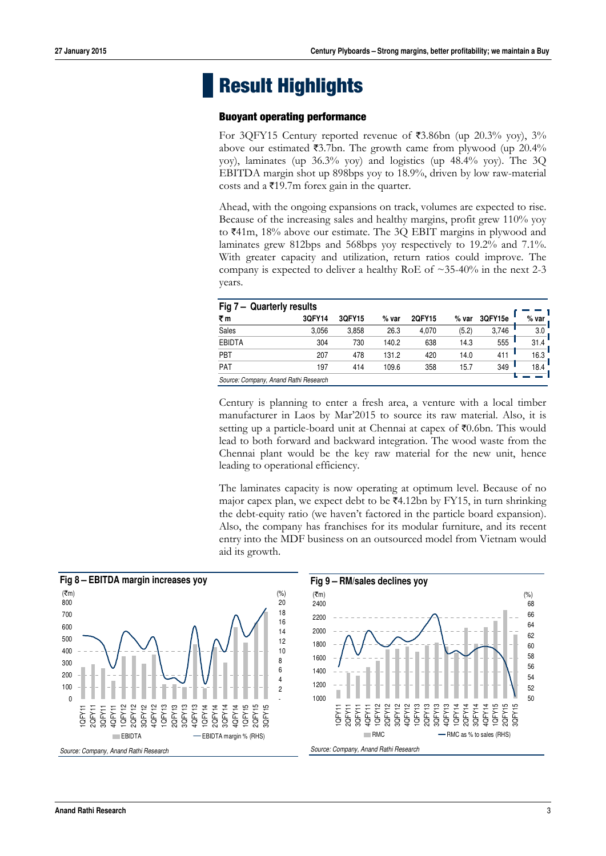# **Result Highlights**

#### **Buoyant operating performance**

For 3QFY15 Century reported revenue of  $\overline{3}3.86$ bn (up 20.3% yoy), 3% above our estimated  $\overline{53.7}$ bn. The growth came from plywood (up 20.4%) yoy), laminates (up 36.3% yoy) and logistics (up 48.4% yoy). The 3Q EBITDA margin shot up 898bps yoy to 18.9%, driven by low raw-material costs and a  $\overline{\epsilon}$ 19.7m forex gain in the quarter.

Ahead, with the ongoing expansions on track, volumes are expected to rise. Because of the increasing sales and healthy margins, profit grew 110% yoy to  $\text{\texttt{41m}}$ , 18% above our estimate. The 3Q EBIT margins in plywood and laminates grew 812bps and 568bps yoy respectively to 19.2% and 7.1%. With greater capacity and utilization, return ratios could improve. The company is expected to deliver a healthy RoE of  $\sim$ 35-40% in the next 2-3 years.

| Fig $7-$<br><b>Quarterly results</b>  |        |        |       |        |       |         |       |
|---------------------------------------|--------|--------|-------|--------|-------|---------|-------|
| ₹m                                    | 3QFY14 | 3QFY15 | % var | 2QFY15 | % var | 3QFY15e | % var |
| Sales                                 | 3.056  | 3.858  | 26.3  | 4.070  | (5.2) | 3,746   | 3.0   |
| <b>EBIDTA</b>                         | 304    | 730    | 140.2 | 638    | 14.3  | 555     | 31.4  |
| PBT                                   | 207    | 478    | 131.2 | 420    | 14.0  | 411     | 16.3  |
| PAT                                   | 197    | 414    | 109.6 | 358    | 15.7  | 349     | 18.4  |
| Source: Company, Anand Rathi Research |        |        |       |        |       |         |       |

Century is planning to enter a fresh area, a venture with a local timber manufacturer in Laos by Mar'2015 to source its raw material. Also, it is setting up a particle-board unit at Chennai at capex of  $\bar{\mathcal{R}}$ 0.6bn. This would lead to both forward and backward integration. The wood waste from the Chennai plant would be the key raw material for the new unit, hence leading to operational efficiency.

The laminates capacity is now operating at optimum level. Because of no major capex plan, we expect debt to be  $\bar{z}4.12$ bn by FY15, in turn shrinking the debt-equity ratio (we haven't factored in the particle board expansion). Also, the company has franchises for its modular furniture, and its recent entry into the MDF business on an outsourced model from Vietnam would aid its growth.

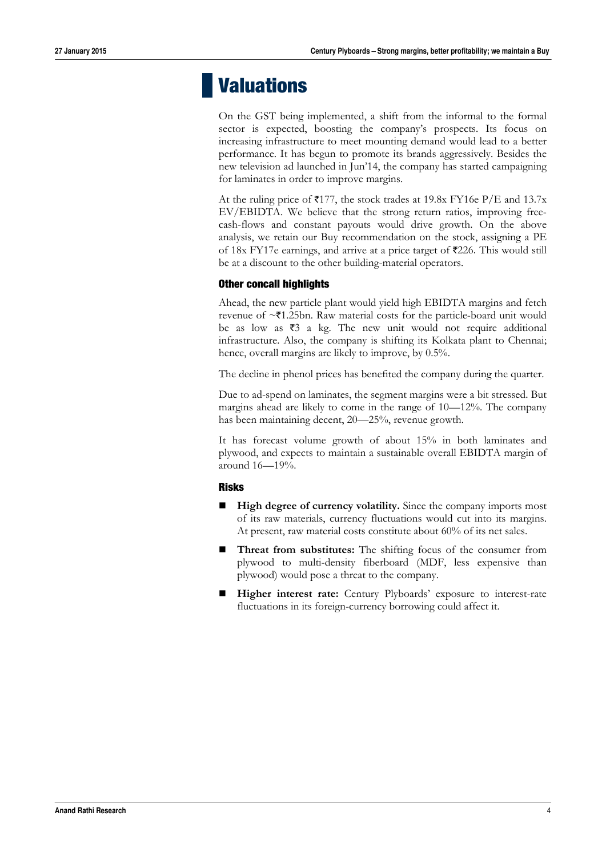# **Valuations**

On the GST being implemented, a shift from the informal to the formal sector is expected, boosting the company's prospects. Its focus on increasing infrastructure to meet mounting demand would lead to a better performance. It has begun to promote its brands aggressively. Besides the new television ad launched in Jun'14, the company has started campaigning for laminates in order to improve margins.

At the ruling price of  $\overline{5177}$ , the stock trades at 19.8x FY16e P/E and 13.7x EV/EBIDTA. We believe that the strong return ratios, improving freecash-flows and constant payouts would drive growth. On the above analysis, we retain our Buy recommendation on the stock, assigning a PE of 18x FY17e earnings, and arrive at a price target of  $\overline{\epsilon}226$ . This would still be at a discount to the other building-material operators.

### **Other concall highlights**

Ahead, the new particle plant would yield high EBIDTA margins and fetch revenue of  $\sim$ ₹1.25bn. Raw material costs for the particle-board unit would be as low as  $\bar{z}3$  a kg. The new unit would not require additional infrastructure. Also, the company is shifting its Kolkata plant to Chennai; hence, overall margins are likely to improve, by 0.5%.

The decline in phenol prices has benefited the company during the quarter.

Due to ad-spend on laminates, the segment margins were a bit stressed. But margins ahead are likely to come in the range of 10—12%. The company has been maintaining decent, 20—25%, revenue growth.

It has forecast volume growth of about 15% in both laminates and plywood, and expects to maintain a sustainable overall EBIDTA margin of around 16—19%.

### **Risks**

- **High degree of currency volatility.** Since the company imports most of its raw materials, currency fluctuations would cut into its margins. At present, raw material costs constitute about 60% of its net sales.
- **Threat from substitutes:** The shifting focus of the consumer from plywood to multi-density fiberboard (MDF, less expensive than plywood) would pose a threat to the company.
- **Higher interest rate:** Century Plyboards' exposure to interest-rate fluctuations in its foreign-currency borrowing could affect it.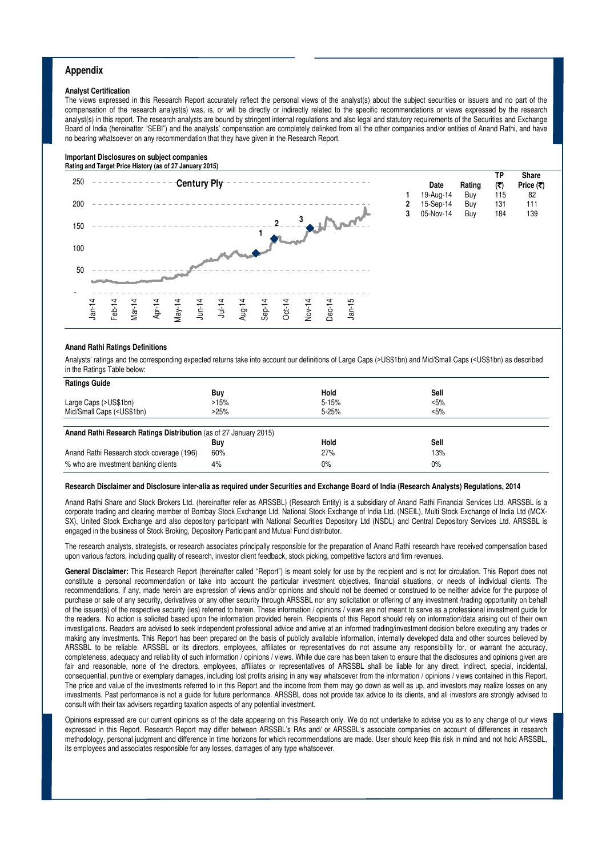#### **Appendix**

#### **Analyst Certification**

The views expressed in this Research Report accurately reflect the personal views of the analyst(s) about the subject securities or issuers and no part of the compensation of the research analyst(s) was, is, or will be directly or indirectly related to the specific recommendations or views expressed by the research analyst(s) in this report. The research analysts are bound by stringent internal regulations and also legal and statutory requirements of the Securities and Exchange Board of India (hereinafter "SEBI") and the analysts' compensation are completely delinked from all the other companies and/or entities of Anand Rathi, and have no bearing whatsoever on any recommendation that they have given in the Research Report.

#### **Important Disclosures on subject companies Rating and Target Price History (as of 27 January 2015)**



#### **Anand Rathi Ratings Definitions**

Analysts' ratings and the corresponding expected returns take into account our definitions of Large Caps (>US\$1bn) and Mid/Small Caps (<US\$1bn) as described in the Ratings Table below:

| <b>Ratings Guide</b>                                                                                                      |      |           |         |
|---------------------------------------------------------------------------------------------------------------------------|------|-----------|---------|
|                                                                                                                           | Buy  | Hold      | Sell    |
| Large Caps (>US\$1bn)                                                                                                     | >15% | $5 - 15%$ | <5%     |
| Mid/Small Caps ( <us\$1bn)< td=""><td>&gt;25%</td><td><math>5 - 25%</math></td><td><math>&lt; 5\%</math></td></us\$1bn)<> | >25% | $5 - 25%$ | $< 5\%$ |
|                                                                                                                           |      |           |         |
| Anand Rathi Research Ratings Distribution (as of 27 January 2015)                                                         |      |           |         |
|                                                                                                                           | Buy  | Hold      | Sell    |
| Anand Rathi Research stock coverage (196)                                                                                 | 60%  | 27%       | 13%     |
| % who are investment banking clients                                                                                      | 4%   | $0\%$     | $0\%$   |

#### **Research Disclaimer and Disclosure inter-alia as required under Securities and Exchange Board of India (Research Analysts) Regulations, 2014**

Anand Rathi Share and Stock Brokers Ltd. (hereinafter refer as ARSSBL) (Research Entity) is a subsidiary of Anand Rathi Financial Services Ltd. ARSSBL is a corporate trading and clearing member of Bombay Stock Exchange Ltd, National Stock Exchange of India Ltd. (NSEIL), Multi Stock Exchange of India Ltd (MCX-SX), United Stock Exchange and also depository participant with National Securities Depository Ltd (NSDL) and Central Depository Services Ltd. ARSSBL is engaged in the business of Stock Broking, Depository Participant and Mutual Fund distributor.

The research analysts, strategists, or research associates principally responsible for the preparation of Anand Rathi research have received compensation based upon various factors, including quality of research, investor client feedback, stock picking, competitive factors and firm revenues.

General Disclaimer: This Research Report (hereinafter called "Report") is meant solely for use by the recipient and is not for circulation. This Report does not constitute a personal recommendation or take into account the particular investment objectives, financial situations, or needs of individual clients. The recommendations, if any, made herein are expression of views and/or opinions and should not be deemed or construed to be neither advice for the purpose of purchase or sale of any security, derivatives or any other security through ARSSBL nor any solicitation or offering of any investment /trading opportunity on behalf of the issuer(s) of the respective security (ies) referred to herein. These information / opinions / views are not meant to serve as a professional investment guide for the readers. No action is solicited based upon the information provided herein. Recipients of this Report should rely on information/data arising out of their own investigations. Readers are advised to seek independent professional advice and arrive at an informed trading/investment decision before executing any trades or making any investments. This Report has been prepared on the basis of publicly available information, internally developed data and other sources believed by ARSSBL to be reliable. ARSSBL or its directors, employees, affiliates or representatives do not assume any responsibility for, or warrant the accuracy, completeness, adequacy and reliability of such information / opinions / views. While due care has been taken to ensure that the disclosures and opinions given are fair and reasonable, none of the directors, employees, affiliates or representatives of ARSSBL shall be liable for any direct, indirect, special, incidental, consequential, punitive or exemplary damages, including lost profits arising in any way whatsoever from the information / opinions / views contained in this Report. The price and value of the investments referred to in this Report and the income from them may go down as well as up, and investors may realize losses on any investments. Past performance is not a guide for future performance. ARSSBL does not provide tax advice to its clients, and all investors are strongly advised to consult with their tax advisers regarding taxation aspects of any potential investment.

Opinions expressed are our current opinions as of the date appearing on this Research only. We do not undertake to advise you as to any change of our views expressed in this Report. Research Report may differ between ARSSBL's RAs and/ or ARSSBL's associate companies on account of differences in research methodology, personal judgment and difference in time horizons for which recommendations are made. User should keep this risk in mind and not hold ARSSBL, its employees and associates responsible for any losses, damages of any type whatsoever.